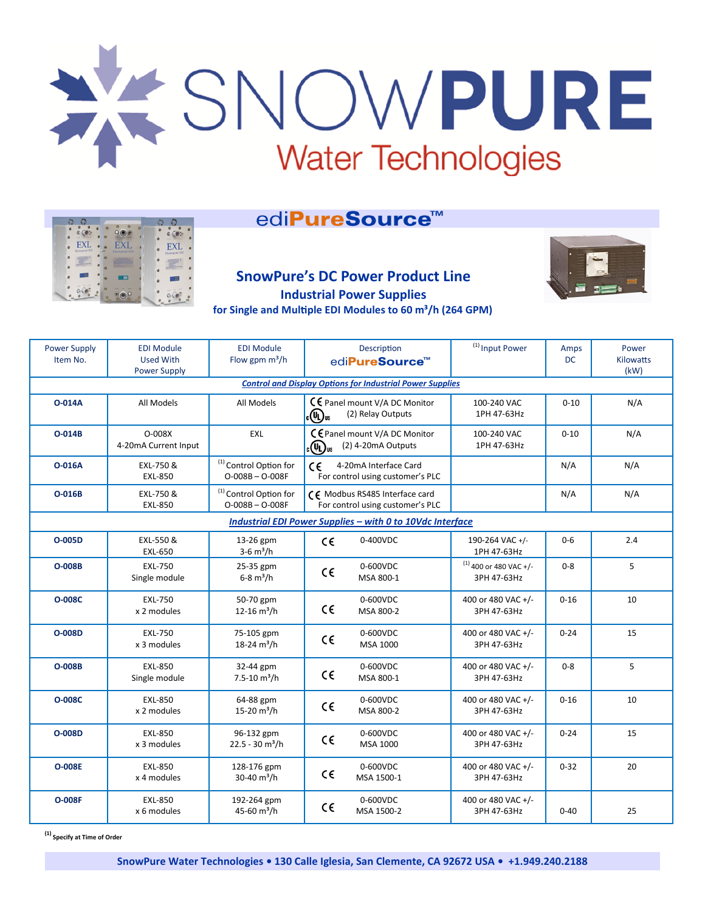

# edi**PureSource™**

|                                      | e                                                                           |                                                         |
|--------------------------------------|-----------------------------------------------------------------------------|---------------------------------------------------------|
| ä<br><b>School</b>                   |                                                                             | ۵<br><b>NOW!</b>                                        |
| EXL<br>$\bullet$<br>Electropare' EDI | <b>EXL</b><br>Electropure" EDI                                              | <b>EXL</b><br>ó<br>Electropure' EDI                     |
| a<br>scenario a                      | <b>DEATHPOINT</b><br><b><i><u><u>Administration</u></u></i></b><br>,,,,,,,, | <b><i><u>In this board</u></i></b><br><b>STATISTICS</b> |
|                                      |                                                                             |                                                         |
| ٥                                    | ≡≡                                                                          |                                                         |
| <b>COLOR</b><br>a                    |                                                                             | <br>$-1$                                                |
|                                      |                                                                             |                                                         |

## **SnowPure's DC Power Product Line Industrial Power Supplies for Single and Multiple EDI Modules to 60 m³/h (264 GPM)**



| <b>Power Supply</b><br>Item No.                                  | <b>EDI Module</b><br><b>Used With</b><br><b>Power Supply</b> | <b>EDI Module</b><br>Flow gpm $m^3/h$                  | Description<br>edi <b>PureSource™</b>                                                  |                        | <sup>(1)</sup> Input Power              | Amps<br><b>DC</b> | Power<br><b>Kilowatts</b><br>(kW) |  |  |
|------------------------------------------------------------------|--------------------------------------------------------------|--------------------------------------------------------|----------------------------------------------------------------------------------------|------------------------|-----------------------------------------|-------------------|-----------------------------------|--|--|
| <b>Control and Display Options for Industrial Power Supplies</b> |                                                              |                                                        |                                                                                        |                        |                                         |                   |                                   |  |  |
| <b>O-014A</b>                                                    | All Models                                                   | All Models                                             | CE Panel mount V/A DC Monitor<br>«Պա<br>(2) Relay Outputs                              |                        | 100-240 VAC<br>1PH 47-63Hz              | $0 - 10$          | N/A                               |  |  |
| O-014B                                                           | O-008X<br>4-20mA Current Input                               | EXL                                                    | C € Panel mount V/A DC Monitor<br>(2) 4-20mA Outputs<br><sub>ն</sub> (Պ) <sub>us</sub> |                        | 100-240 VAC<br>1PH 47-63Hz              | $0 - 10$          | N/A                               |  |  |
| <b>O-016A</b>                                                    | EXL-750 &<br><b>EXL-850</b>                                  | <sup>(1)</sup> Control Option for<br>$O-008B - O-008F$ | $\epsilon$<br>4-20mA Interface Card<br>For control using customer's PLC                |                        |                                         | N/A               | N/A                               |  |  |
| O-016B                                                           | EXL-750&<br><b>EXL-850</b>                                   | <sup>(1)</sup> Control Option for<br>$O-008B - O-008F$ | CE Modbus RS485 Interface card<br>For control using customer's PLC                     |                        |                                         | N/A               | N/A                               |  |  |
| Industrial EDI Power Supplies - with 0 to 10Vdc Interface        |                                                              |                                                        |                                                                                        |                        |                                         |                   |                                   |  |  |
| O-005D                                                           | EXL-550 &<br><b>EXL-650</b>                                  | 13-26 gpm<br>$3-6 \text{ m}^3/h$                       | $C \in$                                                                                | 0-400VDC               | 190-264 VAC +/-<br>1PH 47-63Hz          | $0-6$             | 2.4                               |  |  |
| <b>O-008B</b>                                                    | <b>EXL-750</b><br>Single module                              | 25-35 gpm<br>$6 - 8 \text{ m}^3/h$                     | $C \in$                                                                                | 0-600VDC<br>MSA 800-1  | $(1)$ 400 or 480 VAC +/-<br>3PH 47-63Hz | $0 - 8$           | 5                                 |  |  |
| <b>O-008C</b>                                                    | <b>EXL-750</b><br>x 2 modules                                | 50-70 gpm<br>12-16 $\mathrm{m}^3/\mathrm{h}$           | $\epsilon$                                                                             | 0-600VDC<br>MSA 800-2  | 400 or 480 VAC +/-<br>3PH 47-63Hz       | $0 - 16$          | 10                                |  |  |
| O-008D                                                           | <b>EXL-750</b><br>x 3 modules                                | 75-105 gpm<br>18-24 $\rm m^3/h$                        | $\epsilon$                                                                             | 0-600VDC<br>MSA 1000   | 400 or 480 VAC +/-<br>3PH 47-63Hz       | $0 - 24$          | 15                                |  |  |
| <b>O-008B</b>                                                    | <b>EXL-850</b><br>Single module                              | 32-44 gpm<br>$7.5 - 10$ m <sup>3</sup> /h              | $\epsilon$                                                                             | 0-600VDC<br>MSA 800-1  | 400 or 480 VAC +/-<br>3PH 47-63Hz       | $0 - 8$           | 5                                 |  |  |
| <b>O-008C</b>                                                    | <b>EXL-850</b><br>x 2 modules                                | 64-88 gpm<br>15-20 $m^3/h$                             | $\epsilon$                                                                             | 0-600VDC<br>MSA 800-2  | 400 or 480 VAC +/-<br>3PH 47-63Hz       | $0 - 16$          | 10                                |  |  |
| O-008D                                                           | <b>EXL-850</b><br>x 3 modules                                | 96-132 gpm<br>$22.5 - 30$ m <sup>3</sup> /h            | $\epsilon$                                                                             | 0-600VDC<br>MSA 1000   | 400 or 480 VAC +/-<br>3PH 47-63Hz       | $0 - 24$          | 15                                |  |  |
| <b>O-008E</b>                                                    | <b>EXL-850</b><br>x 4 modules                                | 128-176 gpm<br>30-40 $\rm m^3/h$                       | $C \in$                                                                                | 0-600VDC<br>MSA 1500-1 | 400 or 480 VAC +/-<br>3PH 47-63Hz       | $0 - 32$          | 20                                |  |  |
| <b>O-008F</b>                                                    | <b>EXL-850</b><br>x 6 modules                                | 192-264 gpm<br>45-60 m <sup>3</sup> /h                 | €€                                                                                     | 0-600VDC<br>MSA 1500-2 | 400 or 480 VAC +/-<br>3PH 47-63Hz       | $0 - 40$          | 25                                |  |  |

**(1) Specify at Time of Order**